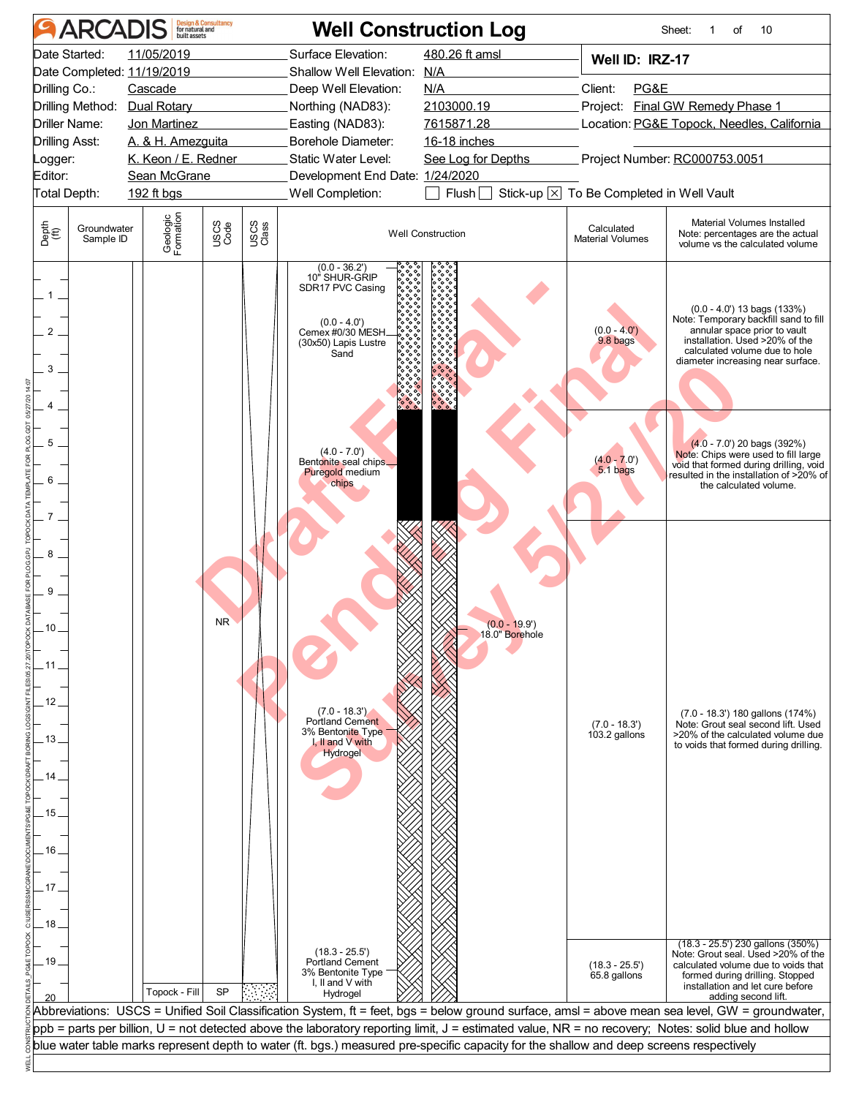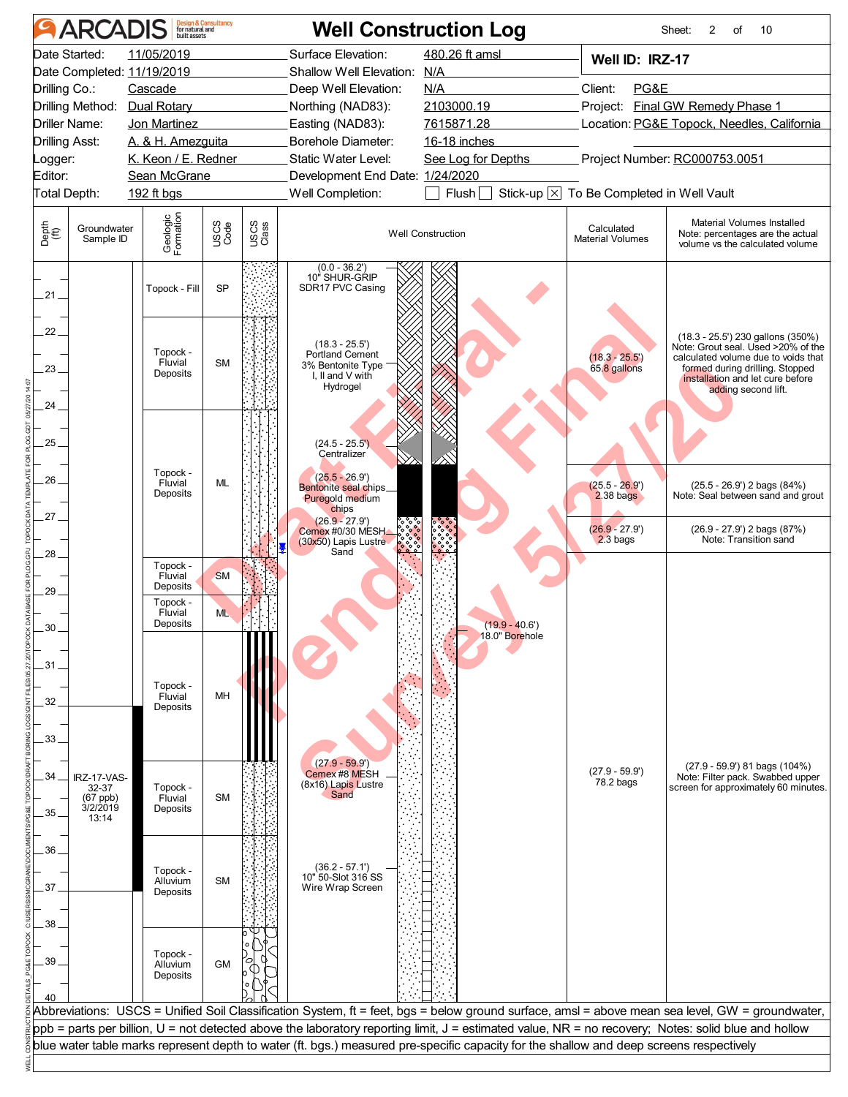|                       | <b>ARCADIS</b>           |                                 | <b>Design &amp; Consultancy</b><br>for natural and |               | <b>Well Construction Log</b>                                                                                                                        |                                   |                                          | Sheet:<br>2<br>of<br>10                                                                                                                         |
|-----------------------|--------------------------|---------------------------------|----------------------------------------------------|---------------|-----------------------------------------------------------------------------------------------------------------------------------------------------|-----------------------------------|------------------------------------------|-------------------------------------------------------------------------------------------------------------------------------------------------|
|                       | Date Started:            | 11/05/2019                      |                                                    |               | Surface Elevation:                                                                                                                                  | 480.26 ft amsl                    | Well ID: IRZ-17                          |                                                                                                                                                 |
|                       |                          | Date Completed: 11/19/2019      |                                                    |               | N/A<br>Shallow Well Elevation:                                                                                                                      |                                   |                                          |                                                                                                                                                 |
| Drilling Co.:         |                          | Cascade                         |                                                    |               | Deep Well Elevation:                                                                                                                                | N/A                               | Client:<br>PG&E                          |                                                                                                                                                 |
|                       | Drilling Method:         | Dual Rotary                     |                                                    |               | Northing (NAD83):                                                                                                                                   | 2103000.19                        |                                          | Project: Final GW Remedy Phase 1                                                                                                                |
| Driller Name:         |                          | Jon Martinez                    |                                                    |               | Easting (NAD83):                                                                                                                                    | 7615871.28                        |                                          | Location: PG&E Topock, Needles, California                                                                                                      |
| <b>Drilling Asst:</b> |                          | A. & H. Amezguita               |                                                    |               | Borehole Diameter:                                                                                                                                  | 16-18 inches                      |                                          |                                                                                                                                                 |
| Logger:               |                          | K. Keon / E. Redner             |                                                    |               | Static Water Level:                                                                                                                                 | See Log for Depths                |                                          | Project Number: RC000753.0051                                                                                                                   |
| Editor:               |                          | Sean McGrane                    |                                                    |               | Development End Date: 1/24/2020                                                                                                                     |                                   |                                          |                                                                                                                                                 |
| Total Depth:          |                          | 192 ft bgs                      |                                                    |               | Well Completion:                                                                                                                                    | Flush                             | Stick-up X To Be Completed in Well Vault |                                                                                                                                                 |
| Depth<br>(ft)         | Groundwater<br>Sample ID | Geologic<br>Formation           | USCS<br>Code                                       | USCS<br>Class | <b>Well Construction</b>                                                                                                                            |                                   | Calculated<br><b>Material Volumes</b>    | Material Volumes Installed<br>Note: percentages are the actual<br>volume vs the calculated volume                                               |
| $.21 -$               |                          | Topock - Fill                   | <b>SP</b>                                          |               | (0.0 - 36.2')<br>10" SHUR-GRIP<br>SDR17 PVC Casing                                                                                                  |                                   |                                          |                                                                                                                                                 |
| 22.                   |                          |                                 |                                                    |               | $(18.3 - 25.5')$                                                                                                                                    |                                   |                                          | (18.3 - 25.5') 230 gallons (350%)<br>Note: Grout seal. Used >20% of the                                                                         |
| $23 -$                |                          | Topock -<br>Fluvial<br>Deposits | <b>SM</b>                                          |               | Portland Cement<br>3% Bentonite Type                                                                                                                |                                   | $(18.3 - 25.5)$<br>65.8 gallons          | calculated volume due to voids that<br>formed during drilling. Stopped                                                                          |
|                       |                          |                                 |                                                    |               | I. II and V with<br>Hydrogel                                                                                                                        |                                   |                                          | installation and let cure before<br>adding second lift.                                                                                         |
| 24                    |                          |                                 |                                                    |               |                                                                                                                                                     |                                   |                                          |                                                                                                                                                 |
|                       |                          |                                 |                                                    |               |                                                                                                                                                     |                                   |                                          |                                                                                                                                                 |
| $25 -$                |                          |                                 |                                                    |               | $(24.5 - 25.5')$<br>Centralizer                                                                                                                     |                                   |                                          |                                                                                                                                                 |
|                       |                          | Topock -                        |                                                    |               |                                                                                                                                                     |                                   |                                          |                                                                                                                                                 |
| 26                    |                          | Fluvial<br>Deposits             | <b>ML</b>                                          |               | $(25.5 - 26.9')$<br>Bentonite seal chips_<br>Puregold medium<br>chips                                                                               |                                   | $(25.5 - 26.9')$<br>$2.38$ bags          | $(25.5 - 26.9')$ 2 bags $(84%)$<br>Note: Seal between sand and grout                                                                            |
| 27                    |                          |                                 |                                                    |               | $(26.9 - 27.9')$<br>Cemex #0/30 MESH.<br>(30x50) Lapis Lustre                                                                                       |                                   | $(26.9 - 27.9')$<br>$2.3$ bags           | $(26.9 - 27.9')$ 2 bags $(87%)$<br>Note: Transition sand                                                                                        |
| 28                    |                          |                                 |                                                    |               | Sand                                                                                                                                                |                                   |                                          |                                                                                                                                                 |
|                       |                          | Topock -<br>Fluvial             | <b>SM</b>                                          |               |                                                                                                                                                     |                                   |                                          |                                                                                                                                                 |
| 29                    |                          | Deposits<br>Topock -            |                                                    |               |                                                                                                                                                     |                                   |                                          |                                                                                                                                                 |
|                       |                          | Fluvial                         | <b>ML</b>                                          |               |                                                                                                                                                     |                                   |                                          |                                                                                                                                                 |
| 30                    |                          | Deposits                        |                                                    |               |                                                                                                                                                     | $(19.9 - 40.6)$<br>18.0" Borehole |                                          |                                                                                                                                                 |
|                       |                          |                                 |                                                    |               |                                                                                                                                                     |                                   |                                          |                                                                                                                                                 |
| .31                   |                          |                                 |                                                    |               |                                                                                                                                                     |                                   |                                          |                                                                                                                                                 |
|                       |                          | Topock -<br>Fluvial             | MH                                                 |               |                                                                                                                                                     |                                   |                                          |                                                                                                                                                 |
| 32                    |                          | Deposits                        |                                                    |               |                                                                                                                                                     |                                   |                                          |                                                                                                                                                 |
| 33.                   |                          |                                 |                                                    |               |                                                                                                                                                     |                                   |                                          |                                                                                                                                                 |
|                       |                          |                                 |                                                    |               |                                                                                                                                                     |                                   |                                          |                                                                                                                                                 |
| 34                    | IRZ-17-VAS-              |                                 |                                                    |               | $(27.9 - 59.9')$<br>Cemex #8 MESH                                                                                                                   |                                   | $(27.9 - 59.9')$                         | $(27.9 - 59.9)$ 81 bags $(104\%)$<br>Note: Filter pack. Swabbed upper                                                                           |
|                       | 32-37                    | Topock -                        |                                                    |               | (8x16) Lapis Lustre<br>Sand                                                                                                                         |                                   | 78.2 bags                                | screen for approximately 60 minutes.                                                                                                            |
| 35.                   | (67 ppb)<br>3/2/2019     | Fluvial<br>Deposits             | <b>SM</b>                                          |               |                                                                                                                                                     |                                   |                                          |                                                                                                                                                 |
|                       | 13:14                    |                                 |                                                    |               |                                                                                                                                                     |                                   |                                          |                                                                                                                                                 |
| $36 -$                |                          |                                 |                                                    |               |                                                                                                                                                     |                                   |                                          |                                                                                                                                                 |
|                       |                          | Topock -                        |                                                    |               | $(36.2 - 57.1')$                                                                                                                                    |                                   |                                          |                                                                                                                                                 |
| 37                    |                          | Alluvium<br>Deposits            | <b>SM</b>                                          |               | 10" 50-Slot 316 SS<br>Wire Wrap Screen                                                                                                              |                                   |                                          |                                                                                                                                                 |
|                       |                          |                                 |                                                    |               |                                                                                                                                                     |                                   |                                          |                                                                                                                                                 |
| 38                    |                          |                                 |                                                    |               |                                                                                                                                                     |                                   |                                          |                                                                                                                                                 |
|                       |                          |                                 |                                                    |               |                                                                                                                                                     |                                   |                                          |                                                                                                                                                 |
| 39                    |                          | Topock -<br>Alluvium            | <b>GM</b>                                          |               |                                                                                                                                                     |                                   |                                          |                                                                                                                                                 |
|                       |                          | Deposits                        |                                                    |               |                                                                                                                                                     |                                   |                                          |                                                                                                                                                 |
|                       |                          |                                 |                                                    |               |                                                                                                                                                     |                                   |                                          |                                                                                                                                                 |
|                       |                          |                                 |                                                    |               | ppb = parts per billion, U = not detected above the laboratory reporting limit, J = estimated value, NR = no recovery; Notes: solid blue and hollow |                                   |                                          | Abbreviations: USCS = Unified Soil Classification System, ft = feet, bgs = below ground surface, amsl = above mean sea level, GW = groundwater, |
|                       |                          |                                 |                                                    |               | blue water table marks represent depth to water (ft. bgs.) measured pre-specific capacity for the shallow and deep screens respectively             |                                   |                                          |                                                                                                                                                 |
|                       |                          |                                 |                                                    |               |                                                                                                                                                     |                                   |                                          |                                                                                                                                                 |
|                       |                          |                                 |                                                    |               |                                                                                                                                                     |                                   |                                          |                                                                                                                                                 |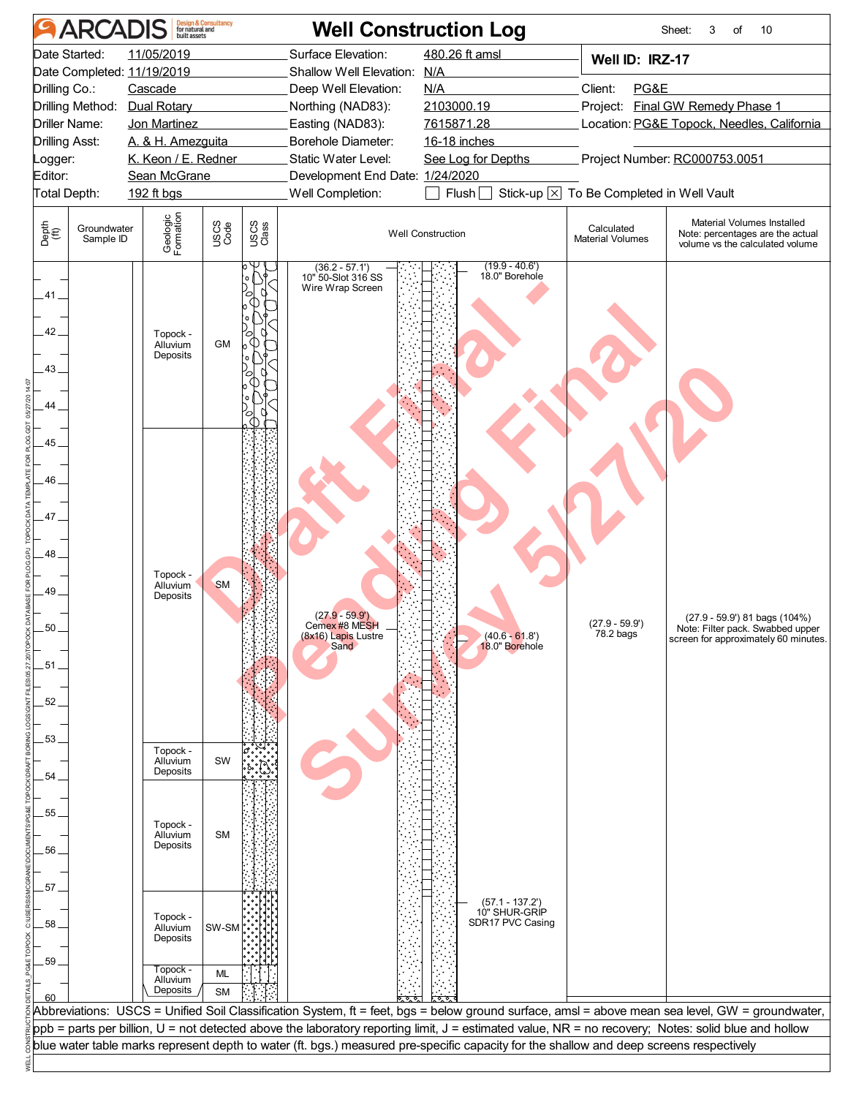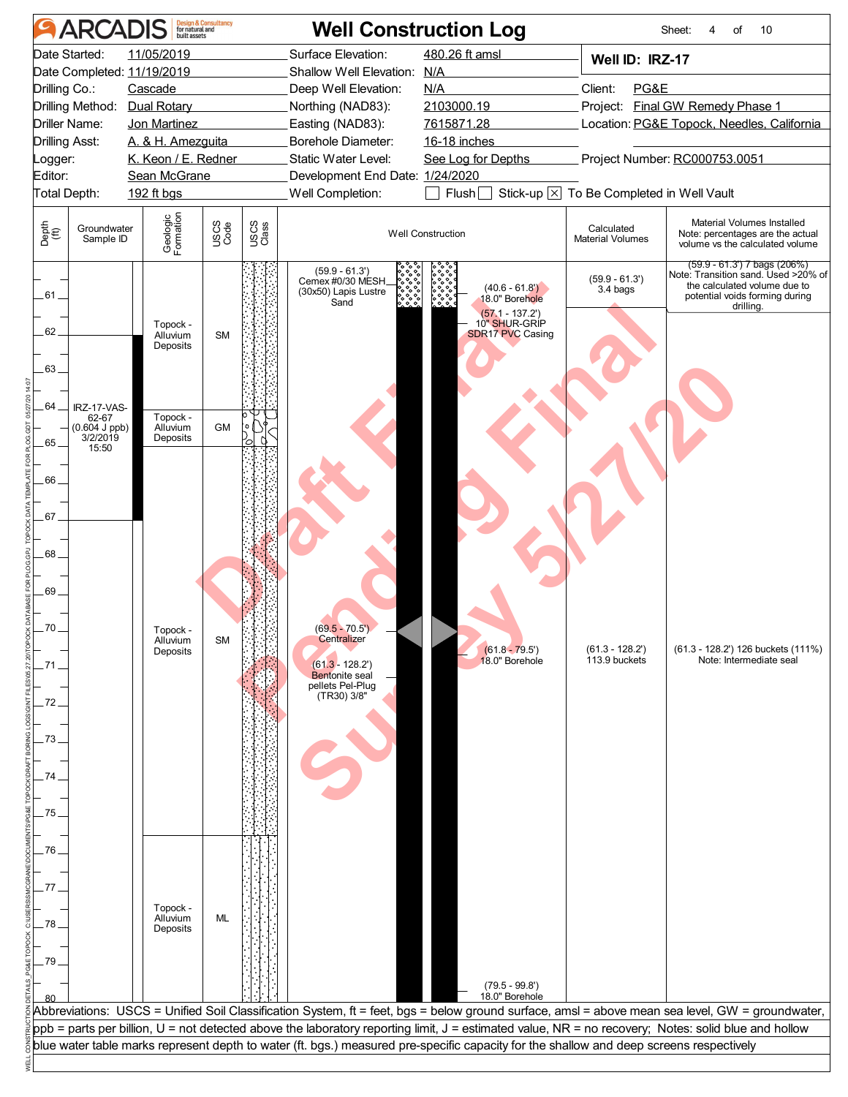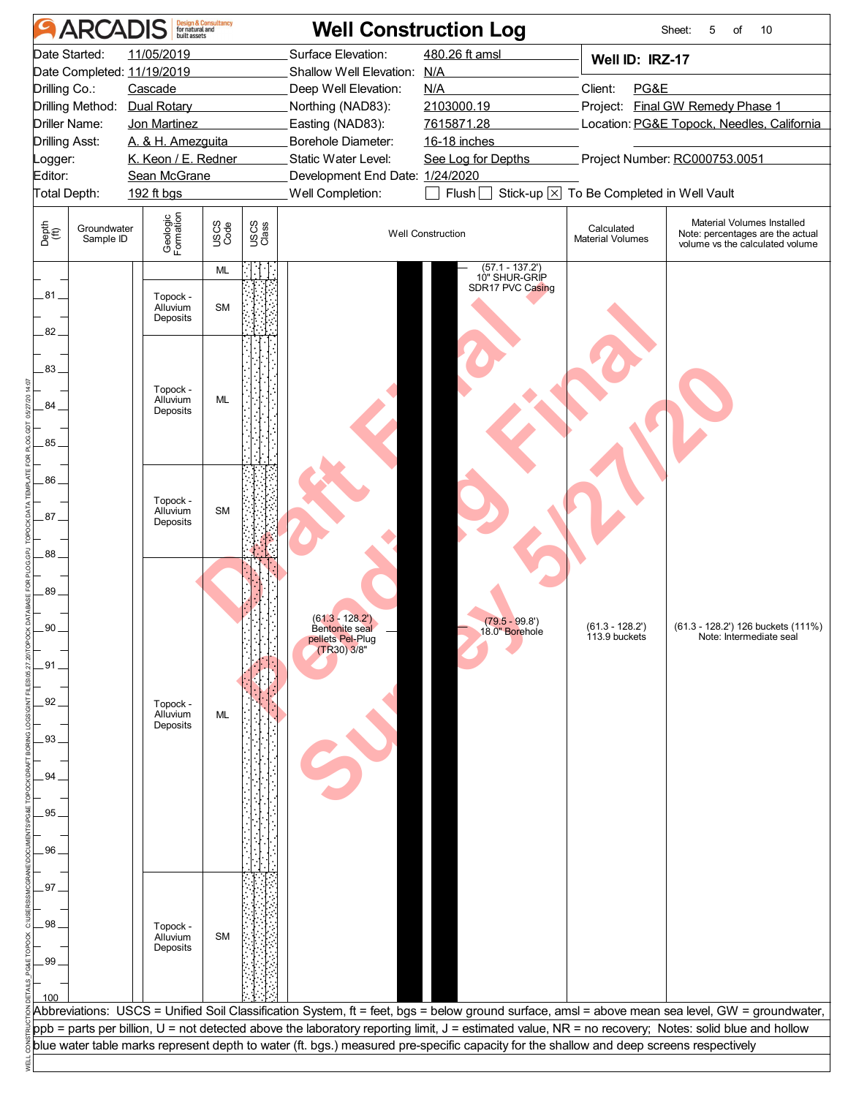| <b>Design &amp; Consultancy</b><br>for natural and<br>built assets<br><b>ARCADIS</b> |                          |                            |              |               | <b>Well Construction Log</b>                        |                                                                                                                                         | Sheet:<br>5<br>of<br>10                  |                                                                                                                                                     |  |
|--------------------------------------------------------------------------------------|--------------------------|----------------------------|--------------|---------------|-----------------------------------------------------|-----------------------------------------------------------------------------------------------------------------------------------------|------------------------------------------|-----------------------------------------------------------------------------------------------------------------------------------------------------|--|
|                                                                                      | Date Started:            | 11/05/2019                 |              |               | Surface Elevation:                                  | 480.26 ft amsl                                                                                                                          | Well ID: IRZ-17                          |                                                                                                                                                     |  |
|                                                                                      |                          | Date Completed: 11/19/2019 |              |               | Shallow Well Elevation:                             | N/A                                                                                                                                     |                                          |                                                                                                                                                     |  |
| Drilling Co.:                                                                        |                          | Cascade                    |              |               | Deep Well Elevation:                                | N/A                                                                                                                                     | Client:<br>PG&E                          |                                                                                                                                                     |  |
|                                                                                      | Drilling Method:         | <b>Dual Rotary</b>         |              |               | Northing (NAD83):                                   | 2103000.19                                                                                                                              |                                          | Project: Final GW Remedy Phase 1                                                                                                                    |  |
|                                                                                      | Driller Name:            | Jon Martinez               |              |               | Easting (NAD83):                                    | 7615871.28                                                                                                                              |                                          | Location: PG&E Topock, Needles, California                                                                                                          |  |
|                                                                                      | <b>Drilling Asst:</b>    | A. & H. Amezguita          |              |               | Borehole Diameter:                                  | 16-18 inches                                                                                                                            |                                          |                                                                                                                                                     |  |
| ogger:                                                                               |                          | K. Keon / E. Redner        |              |               | Static Water Level:                                 | See Log for Depths                                                                                                                      |                                          | Project Number: RC000753.0051                                                                                                                       |  |
| Editor:                                                                              | Total Depth:             | Sean McGrane<br>192 ft bgs |              |               | Development End Date: 1/24/2020<br>Well Completion: | Flush                                                                                                                                   | Stick-up X To Be Completed in Well Vault |                                                                                                                                                     |  |
|                                                                                      |                          |                            |              |               |                                                     |                                                                                                                                         |                                          |                                                                                                                                                     |  |
| Depth<br>(ff)                                                                        | Groundwater<br>Sample ID | Geologic<br>Formation      | USCS<br>Code | USCS<br>Class |                                                     | <b>Well Construction</b>                                                                                                                | Calculated<br><b>Material Volumes</b>    | Material Volumes Installed<br>Note: percentages are the actual<br>volume vs the calculated volume                                                   |  |
|                                                                                      |                          |                            | <b>ML</b>    |               |                                                     | $(57.1 - 137.2')$<br>10" SHUR-GRIP                                                                                                      |                                          |                                                                                                                                                     |  |
| .81 .                                                                                |                          | Topock -                   |              |               |                                                     | SDR17 PVC Casing                                                                                                                        |                                          |                                                                                                                                                     |  |
|                                                                                      |                          | Alluvium                   | <b>SM</b>    |               |                                                     |                                                                                                                                         |                                          |                                                                                                                                                     |  |
| $82 -$                                                                               |                          | Deposits                   |              |               |                                                     |                                                                                                                                         |                                          |                                                                                                                                                     |  |
|                                                                                      |                          |                            |              |               |                                                     |                                                                                                                                         |                                          |                                                                                                                                                     |  |
| 83.                                                                                  |                          |                            |              |               |                                                     |                                                                                                                                         |                                          |                                                                                                                                                     |  |
|                                                                                      |                          |                            |              |               |                                                     |                                                                                                                                         |                                          |                                                                                                                                                     |  |
| 84.                                                                                  |                          | Topock -<br>Alluvium       | <b>ML</b>    |               |                                                     |                                                                                                                                         |                                          |                                                                                                                                                     |  |
|                                                                                      |                          | Deposits                   |              |               |                                                     |                                                                                                                                         |                                          |                                                                                                                                                     |  |
| 85.                                                                                  |                          |                            |              |               |                                                     |                                                                                                                                         |                                          |                                                                                                                                                     |  |
|                                                                                      |                          |                            |              |               |                                                     |                                                                                                                                         |                                          |                                                                                                                                                     |  |
| 86.                                                                                  |                          |                            |              |               |                                                     |                                                                                                                                         |                                          |                                                                                                                                                     |  |
|                                                                                      |                          |                            |              |               |                                                     |                                                                                                                                         |                                          |                                                                                                                                                     |  |
| 87                                                                                   |                          | Topock -<br>Alluvium       | SM           |               |                                                     |                                                                                                                                         |                                          |                                                                                                                                                     |  |
|                                                                                      |                          | Deposits                   |              |               |                                                     |                                                                                                                                         |                                          |                                                                                                                                                     |  |
|                                                                                      |                          |                            |              |               |                                                     |                                                                                                                                         |                                          |                                                                                                                                                     |  |
| .88                                                                                  |                          |                            |              |               |                                                     |                                                                                                                                         |                                          |                                                                                                                                                     |  |
|                                                                                      |                          |                            |              |               |                                                     |                                                                                                                                         |                                          |                                                                                                                                                     |  |
| 89                                                                                   |                          |                            |              |               |                                                     |                                                                                                                                         |                                          |                                                                                                                                                     |  |
| 90                                                                                   |                          |                            |              |               | $(61.3 - 128.2')$<br>Bentonite seal                 | $(79.5 - 99.8)$                                                                                                                         | $(61.3 - 128.2')$                        | (61.3 - 128.2') 126 buckets (111%)                                                                                                                  |  |
|                                                                                      |                          |                            |              |               | pellets Pel-Plug<br>(TR30) 3/8"                     | 18.0" Borehole                                                                                                                          | 113.9 buckets                            | Note: Intermediate seal                                                                                                                             |  |
|                                                                                      |                          |                            |              |               |                                                     |                                                                                                                                         |                                          |                                                                                                                                                     |  |
| $-91 -$                                                                              |                          |                            |              |               |                                                     |                                                                                                                                         |                                          |                                                                                                                                                     |  |
|                                                                                      |                          |                            |              |               |                                                     |                                                                                                                                         |                                          |                                                                                                                                                     |  |
| 92.                                                                                  |                          | Topock -<br>Alluvium       | <b>ML</b>    |               |                                                     |                                                                                                                                         |                                          |                                                                                                                                                     |  |
| 93.                                                                                  |                          | Deposits                   |              |               |                                                     |                                                                                                                                         |                                          |                                                                                                                                                     |  |
|                                                                                      |                          |                            |              |               |                                                     |                                                                                                                                         |                                          |                                                                                                                                                     |  |
| 94                                                                                   |                          |                            |              |               |                                                     |                                                                                                                                         |                                          |                                                                                                                                                     |  |
|                                                                                      |                          |                            |              |               |                                                     |                                                                                                                                         |                                          |                                                                                                                                                     |  |
| 95                                                                                   |                          |                            |              |               |                                                     |                                                                                                                                         |                                          |                                                                                                                                                     |  |
|                                                                                      |                          |                            |              |               |                                                     |                                                                                                                                         |                                          |                                                                                                                                                     |  |
| 96.                                                                                  |                          |                            |              |               |                                                     |                                                                                                                                         |                                          |                                                                                                                                                     |  |
|                                                                                      |                          |                            |              |               |                                                     |                                                                                                                                         |                                          |                                                                                                                                                     |  |
| .97.                                                                                 |                          |                            |              |               |                                                     |                                                                                                                                         |                                          |                                                                                                                                                     |  |
|                                                                                      |                          |                            |              |               |                                                     |                                                                                                                                         |                                          |                                                                                                                                                     |  |
|                                                                                      |                          |                            |              |               |                                                     |                                                                                                                                         |                                          |                                                                                                                                                     |  |
| .98                                                                                  |                          | Topock -<br>Alluvium       | SM           |               |                                                     |                                                                                                                                         |                                          |                                                                                                                                                     |  |
|                                                                                      |                          | Deposits                   |              |               |                                                     |                                                                                                                                         |                                          |                                                                                                                                                     |  |
| 99                                                                                   |                          |                            |              |               |                                                     |                                                                                                                                         |                                          |                                                                                                                                                     |  |
|                                                                                      |                          |                            |              |               |                                                     |                                                                                                                                         |                                          |                                                                                                                                                     |  |
| 100                                                                                  |                          |                            |              |               |                                                     |                                                                                                                                         |                                          | Abbreviations: USCS = Unified Soil Classification System, ft = feet, bgs = below ground surface, amsl = above mean sea level, GW = groundwater,     |  |
|                                                                                      |                          |                            |              |               |                                                     |                                                                                                                                         |                                          | ppb = parts per billion, U = not detected above the laboratory reporting limit, J = estimated value, NR = no recovery; Notes: solid blue and hollow |  |
|                                                                                      |                          |                            |              |               |                                                     | blue water table marks represent depth to water (ft. bgs.) measured pre-specific capacity for the shallow and deep screens respectively |                                          |                                                                                                                                                     |  |
|                                                                                      |                          |                            |              |               |                                                     |                                                                                                                                         |                                          |                                                                                                                                                     |  |
|                                                                                      |                          |                            |              |               |                                                     |                                                                                                                                         |                                          |                                                                                                                                                     |  |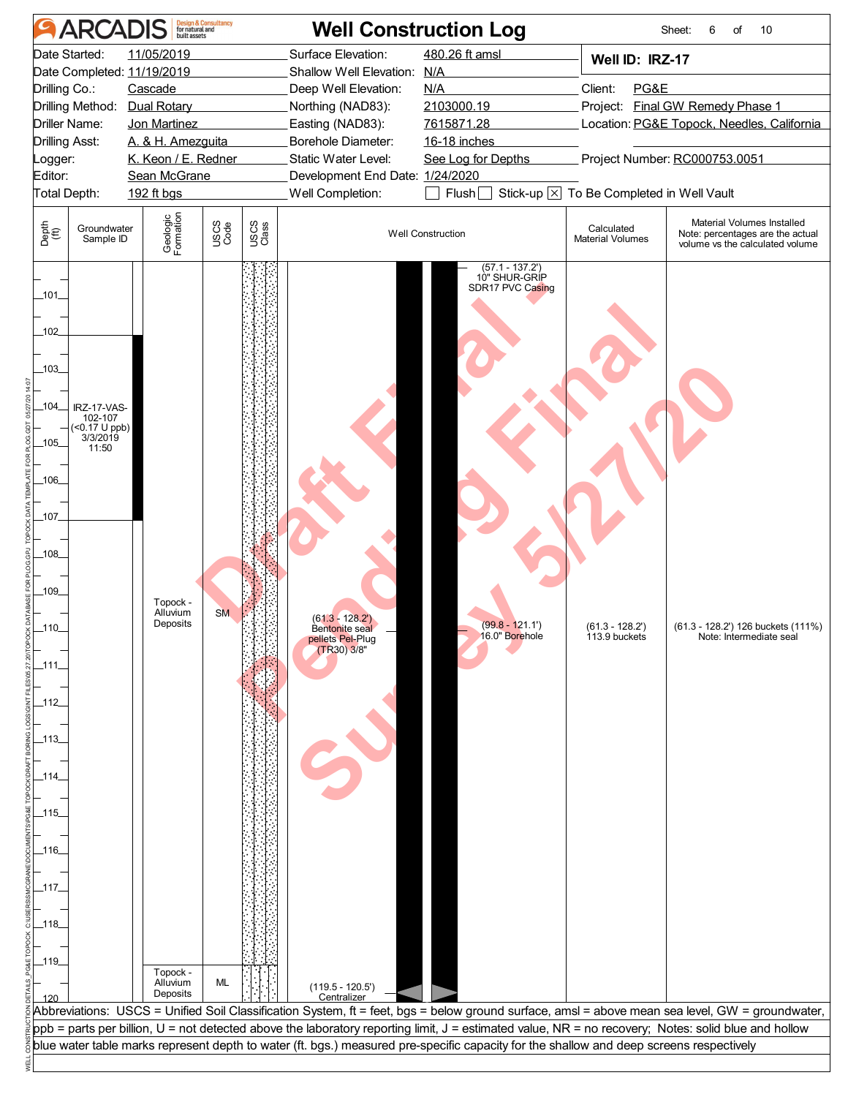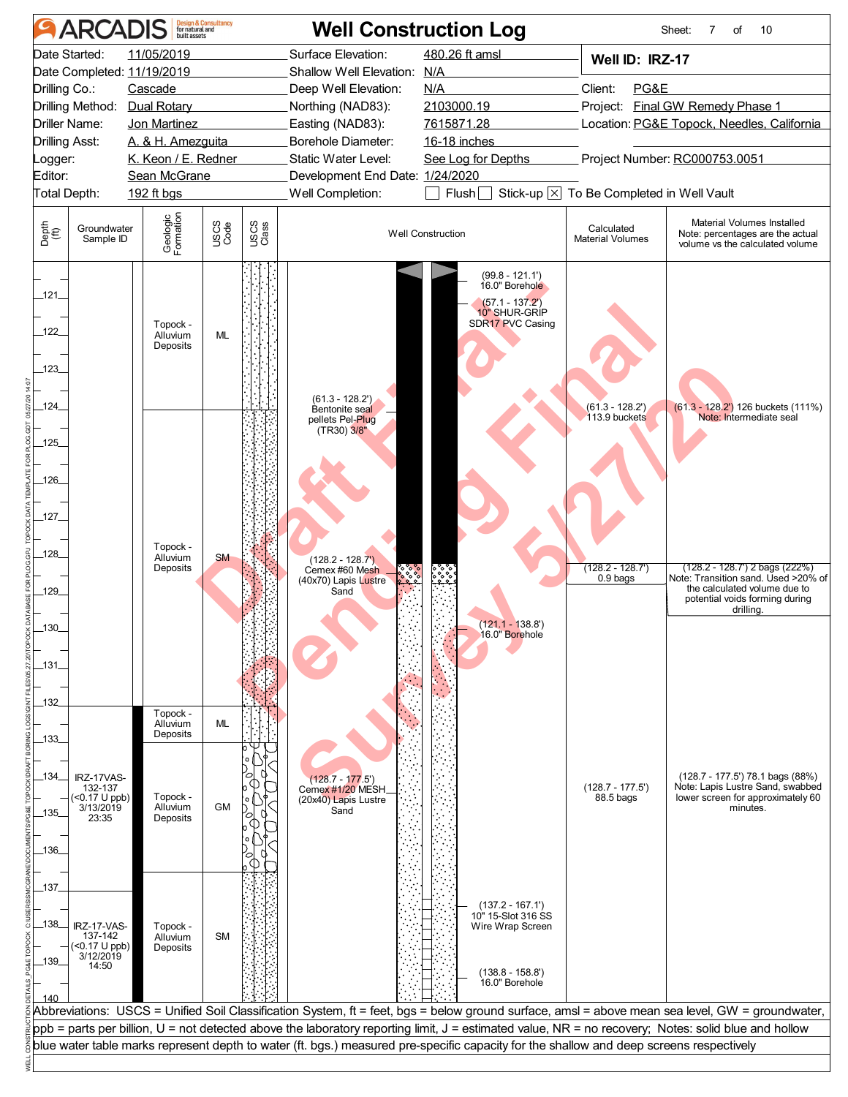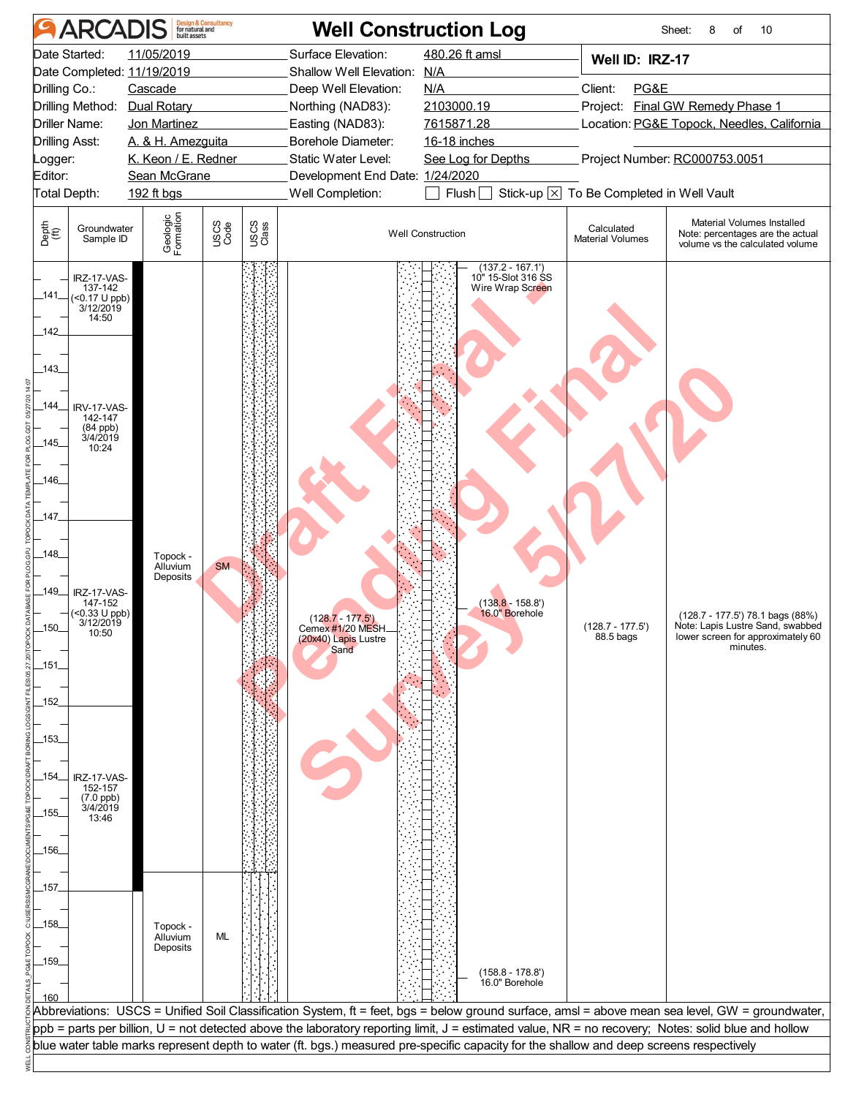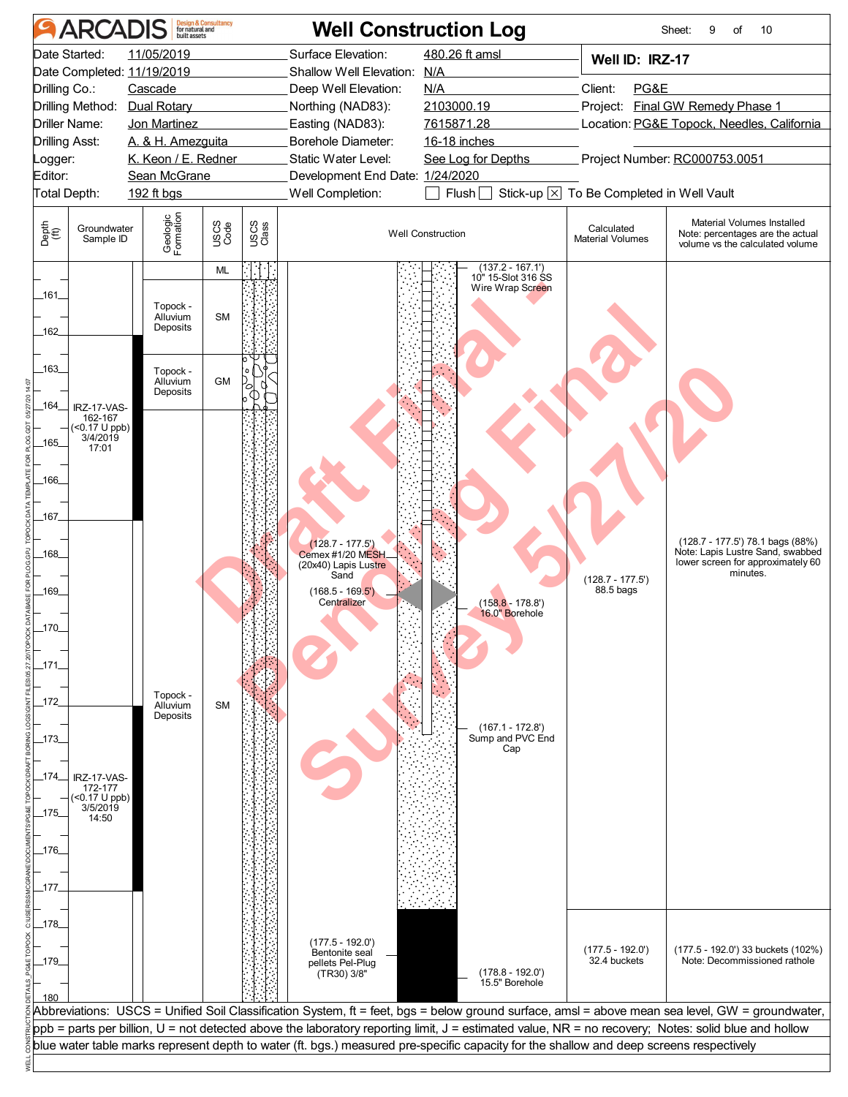